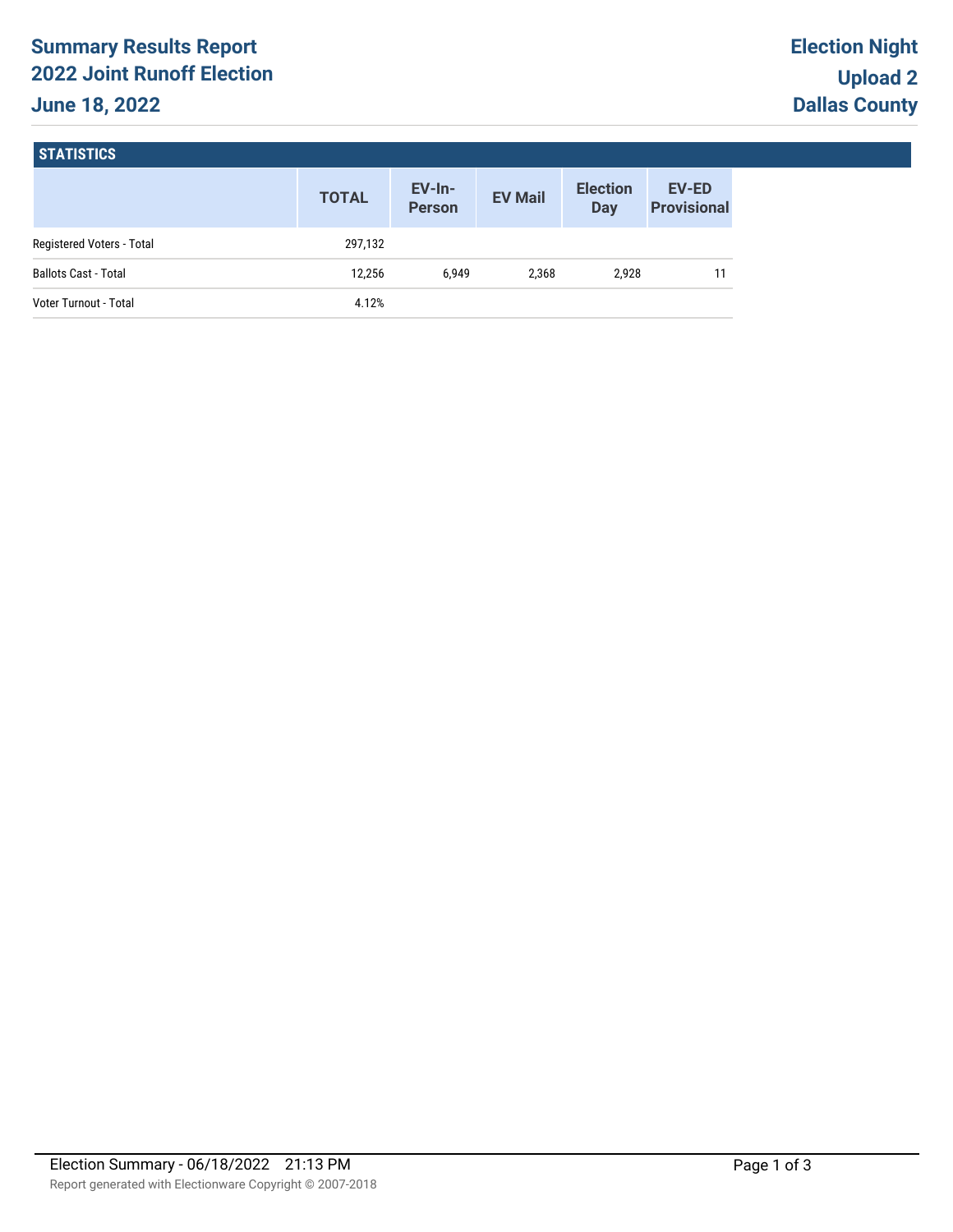# **Summary Results Report 2022 Joint Runoff Election June 18, 2022**

#### **STATISTICS**

|                             | <b>TOTAL</b> | $EV-In-$<br><b>Person</b> | <b>EV Mail</b> | <b>Election</b><br><b>Day</b> | <b>EV-ED</b><br><b>Provisional</b> |
|-----------------------------|--------------|---------------------------|----------------|-------------------------------|------------------------------------|
| Registered Voters - Total   | 297,132      |                           |                |                               |                                    |
| <b>Ballots Cast - Total</b> | 12.256       | 6.949                     | 2.368          | 2.928                         |                                    |
| Voter Turnout - Total       | 4.12%        |                           |                |                               |                                    |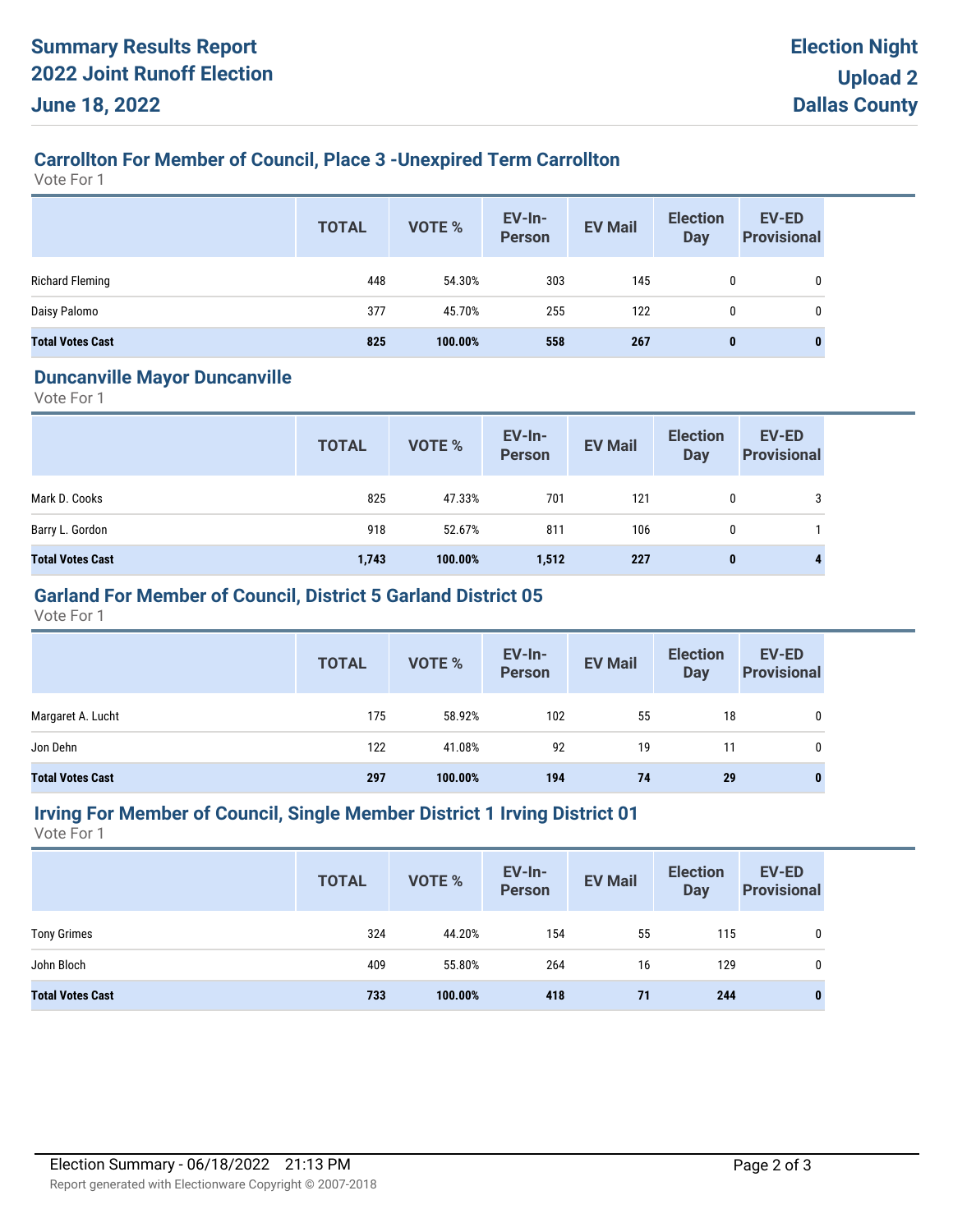# **Carrollton For Member of Council, Place 3 -Unexpired Term Carrollton**

Vote For 1

|                         | <b>TOTAL</b> | <b>VOTE %</b> | <b>EV-In-</b><br><b>Person</b> | <b>EV Mail</b> | <b>Election</b><br><b>Day</b> | EV-ED<br><b>Provisional</b> |
|-------------------------|--------------|---------------|--------------------------------|----------------|-------------------------------|-----------------------------|
| <b>Richard Fleming</b>  | 448          | 54.30%        | 303                            | 145            | 0                             | 0                           |
| Daisy Palomo            | 377          | 45.70%        | 255                            | 122            | 0                             | 0                           |
| <b>Total Votes Cast</b> | 825          | 100.00%       | 558                            | 267            | $\bf{0}$                      | 0                           |

#### **Duncanville Mayor Duncanville**

Vote For 1

|                         | <b>TOTAL</b> | VOTE %  | EV-In-<br>Person | <b>EV Mail</b> | <b>Election</b><br>Day | <b>EV-ED</b><br><b>Provisional</b> |
|-------------------------|--------------|---------|------------------|----------------|------------------------|------------------------------------|
| Mark D. Cooks           | 825          | 47.33%  | 701              | 121            | 0                      | 3                                  |
| Barry L. Gordon         | 918          | 52.67%  | 811              | 106            | 0                      |                                    |
| <b>Total Votes Cast</b> | 1,743        | 100.00% | 1,512            | 227            | 0                      | 4                                  |

# **Garland For Member of Council, District 5 Garland District 05**

Vote For 1

|                         | <b>TOTAL</b> | VOTE %  | EV-In-<br>Person | <b>EV Mail</b> | <b>Election</b><br><b>Day</b> | <b>EV-ED</b><br><b>Provisional</b> |
|-------------------------|--------------|---------|------------------|----------------|-------------------------------|------------------------------------|
| Margaret A. Lucht       | 175          | 58.92%  | 102              | 55             | 18                            | 0                                  |
| Jon Dehn                | 122          | 41.08%  | 92               | 19             | 11                            |                                    |
| <b>Total Votes Cast</b> | 297          | 100.00% | 194              | 74             | 29                            | $\bf{0}$                           |

### **Irving For Member of Council, Single Member District 1 Irving District 01**

Vote For 1

|                         | <b>TOTAL</b> | VOTE %  | EV-In-<br>Person | <b>EV Mail</b> | <b>Election</b><br><b>Day</b> | EV-ED<br><b>Provisional</b> |
|-------------------------|--------------|---------|------------------|----------------|-------------------------------|-----------------------------|
| <b>Tony Grimes</b>      | 324          | 44.20%  | 154              | 55             | 115                           | 0                           |
| John Bloch              | 409          | 55.80%  | 264              | 16             | 129                           | 0                           |
| <b>Total Votes Cast</b> | 733          | 100.00% | 418              | 71             | 244                           | 0                           |